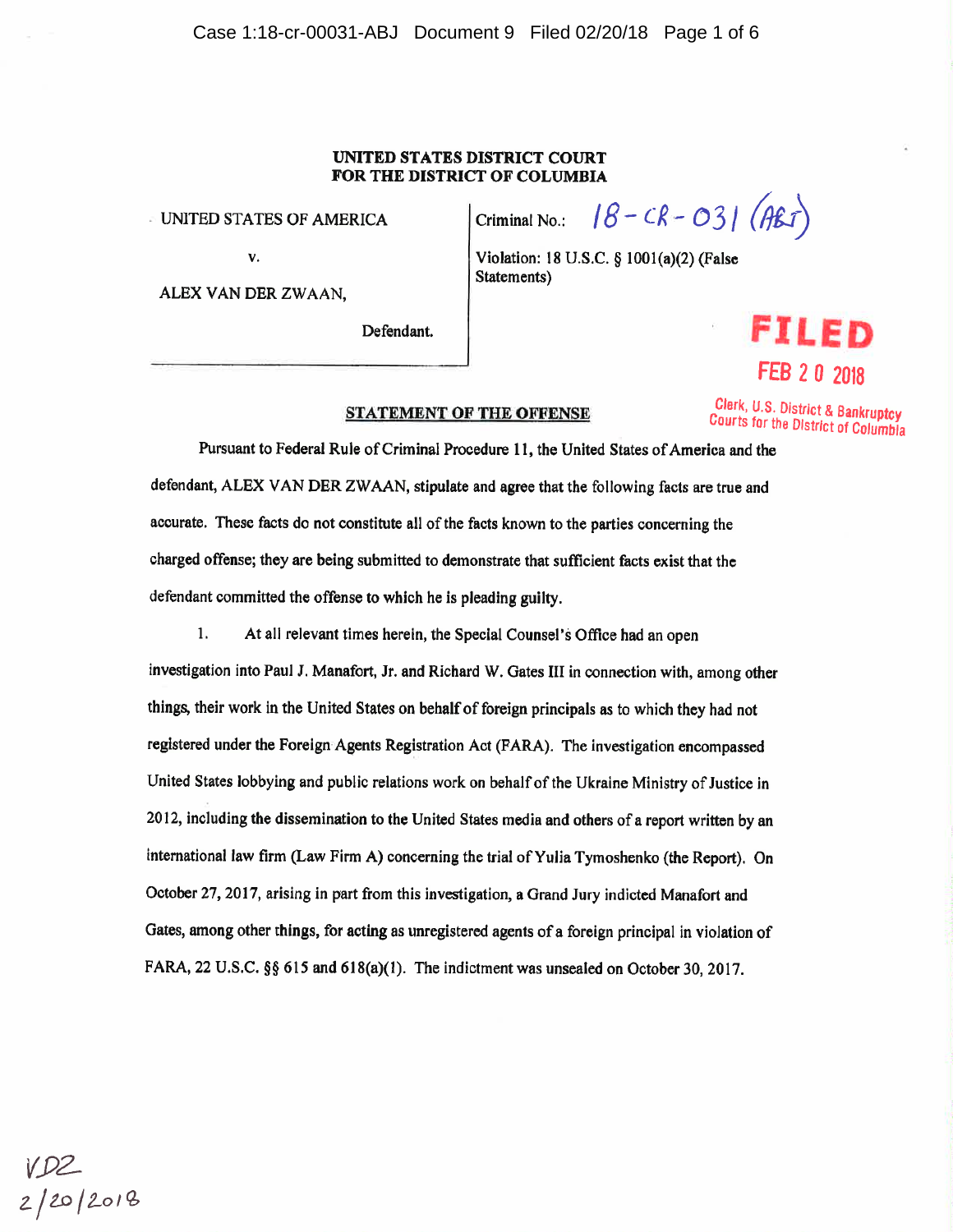#### UNITED STATES DISTRICT COURT **FOR THE DIST RICT OF COLUMBIA**

Statements)

· UNITED STATES OF AMERICA

v.

ALEX VAN DER ZWAAN,

Defendant.



Courts tor the District of Columbla

Criminal No.:  $18 - CR - O31 (ABT)$ 

Violation: 18 U.S.C. § 1001(a)(2) (False

# **STATEMENT OF THE OFFENSE Clerk, U.S. District & Bankruptcy**

Pursuant to Federal Rule of Criminal Procedure 11, the United States of America and the defendant, ALEX VAN DER ZW AAN, stipulate and agree that the following facts are true and accurate. These facts do not constitute all of the facts known to the parties concerning the charged offense; they are being submitted to demonstrate that sufficient facts exist that the defendant committed the offense to which he is pleading guilty.

1. At all relevant times herein, the Special Counsel's Office had an open investigation into Paul J. Manafort, Jr. and Richard W. Gates III in connection with, among other things, their work in the United States on behalf of foreign principals as to which they had not registered under the Foreign· Agents Registration Act (FARA). The investigation encompassed United States lobbying and public relations work on behalf of the Ukraine Ministry of Justice in 2012, including the dissemination to the United States media and others of a report written by an international law firm (Law Firm A) concerning the trial of Yulia Tymoshenko (the Report). On October 27, 2017, arising in part from this investigation, a Grand Jury indicted Manafort and Gates, among other things, for acting as unregistered agents of a foreign principal in violation of FARA, 22 U.S.C. §§ 615 and 618(a)(1). The indictment was unsealed on October 30, 2017.

VD2<br>2/20/2018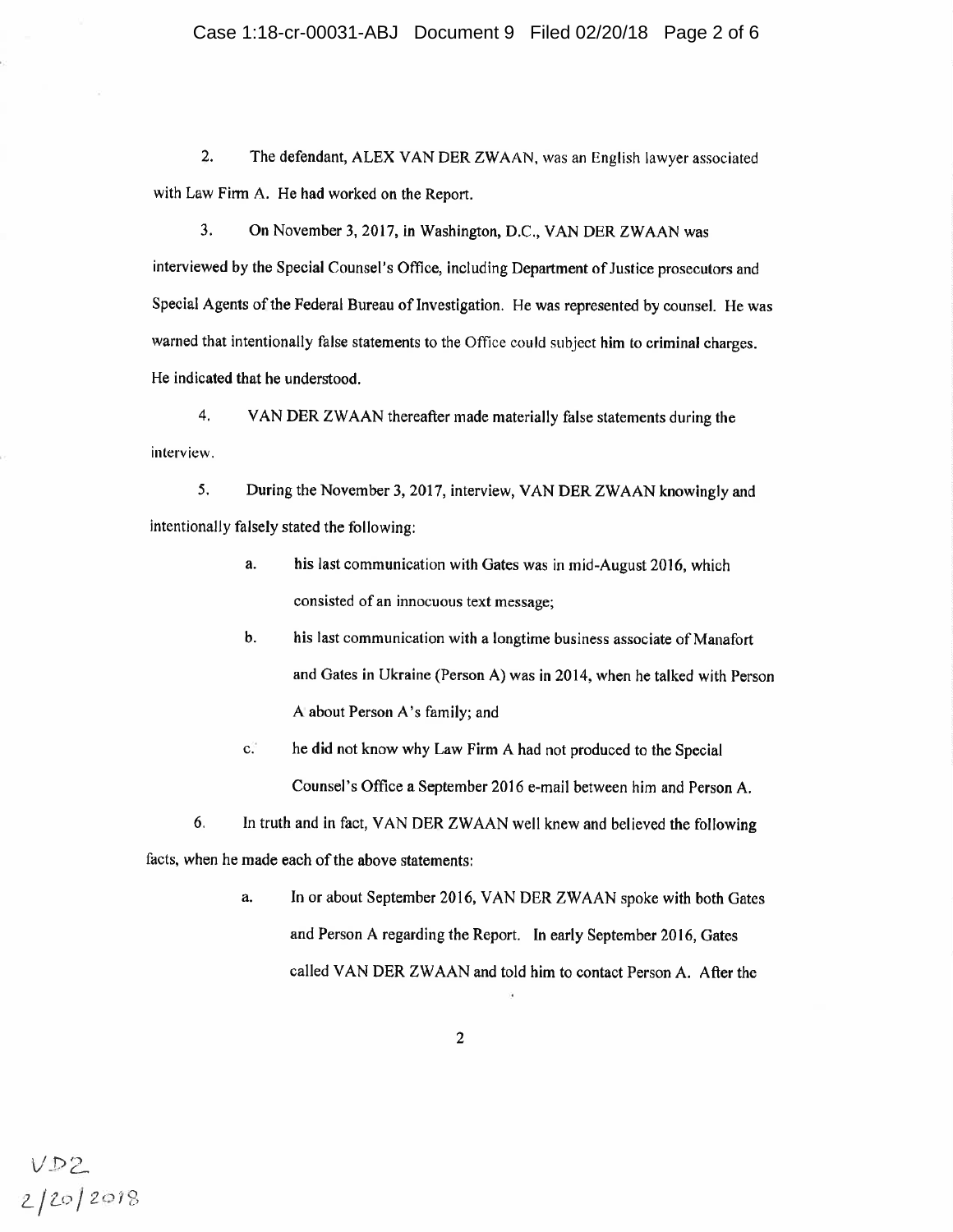2. The defendant, ALEX VAN DER ZWAAN, was an English lawyer associated with Law Firm A. He had worked on the Report.

3. On November 3, 2017, in Washington, D.C., VAN DER ZWAAN was interviewed by the Special Counsel's Office, including Department of Justice prosecutors and Special Agents of the Federal Bureau of Investigation. He was represented by counsel. He was warned that intentionally false statements to the Office could subject him to criminal charges. He indicated that he understood.

4. VAN DER ZW AAN thereafter made materially false statements during the interview.

5. During the November 3, 2017, interview, VAN DER ZWAAN knowingly and intentionally falsely stated the following:

- a. his last communication with Gates was in mid-August 2016, which consisted of an innocuous text message;
- b. his last communication with a longtime business associate of Manafort and Gates in Ukraine (Person A) was in 2014, when he talked with Person A about Person A's family; and
- c. he did not know why Law Firm A had not produced to the Special Counsel's Office a September 2016 e-mail between him and Person A.

6. In truth and in fact, VAN DER ZWAAN well knew and believed the following facts, when he made each of the above statements:

> a. In or about September 2016, VAN DER ZW AAN spoke with both Gates and Person A regarding the Report. In early September 2016, Gates called VAN DER ZWAAN and told him to contact Person A. After the

 $VD2$ <br> $2/20/2018$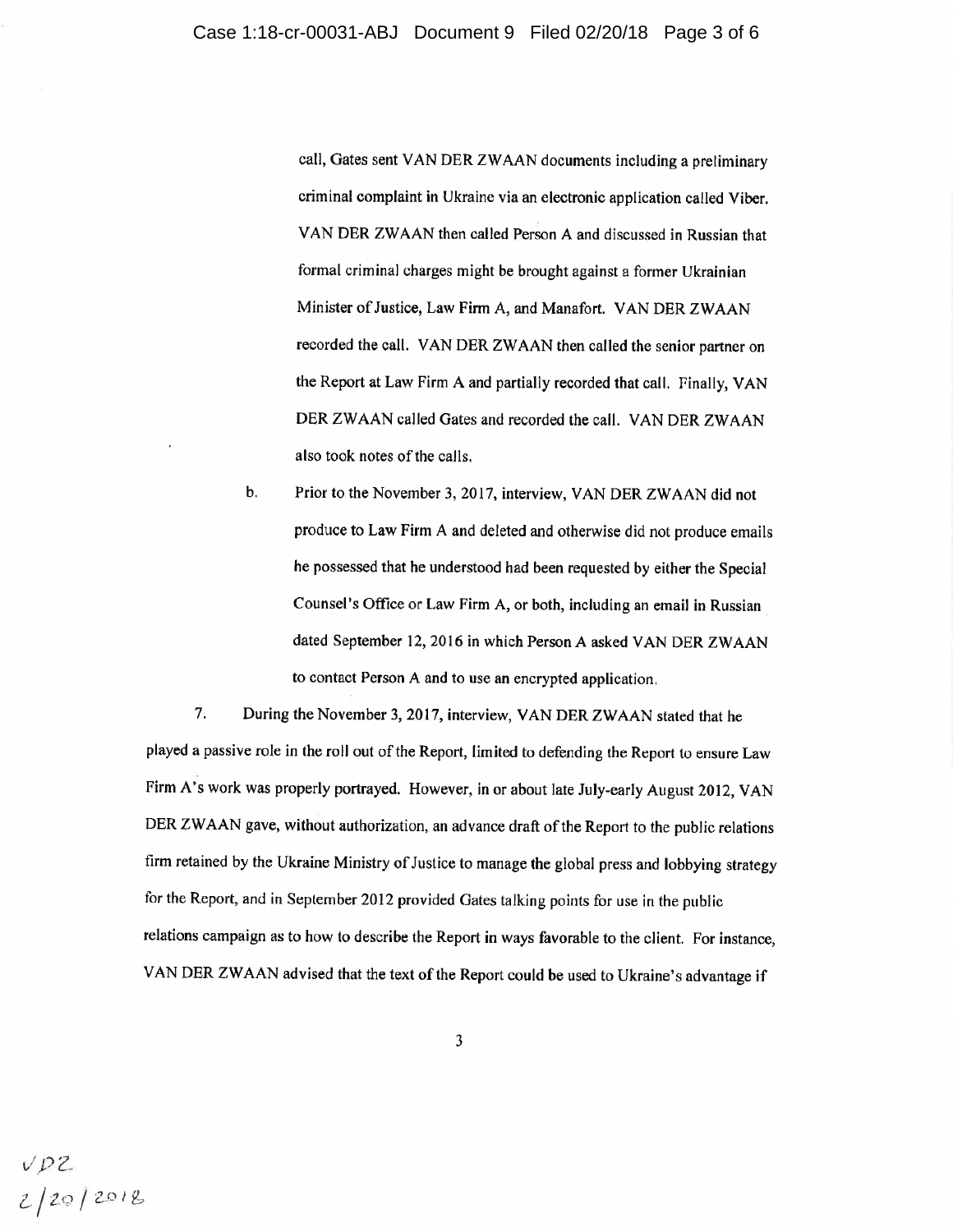call, Gates sent VAN DER ZW AAN documents including a preliminary criminal complaint in Ukraine via an electronic application called Viber. VAN DER ZWAAN then called Person A and discussed in Russian that formal criminal charges might be brought against a former Ukrainian Minister of Justice, Law Firm A, and Manafort. VAN DER ZWAAN recorded the call. VAN DER ZWAAN then called the senior partner on the Report at Law Firm A and partially recorded that call. Finally, VAN DER ZWAAN called Gates and recorded the call. VAN DER ZWAAN also took notes of the calls.

b. Prior to the November 3, 2017, interview, VAN DER ZWAAN did not produce to Law Firm A and deleted and otherwise did not produce emails he possessed that he understood had been requested by either the Special Counsel's Office or Law Firm A, or both, including an email in Russian dated September 12, 2016 in which Person A asked VAN DER ZWAAN to contact Person A and to use an encrypted application.

7. During the November 3, 2017, interview, VAN DER ZWAAN stated that he <sup>p</sup>layed a passive role in the roll out of the Report, limited to defending the Report to ensure Law Firm A's work was properly portrayed. However, in or about late July-early August 2012, VAN DER ZWAAN gave, without authorization, an advance draft of the Report to the public relations firm retained by the Ukraine Ministry of Justice to manage the global press and lobbying strategy for the Report, and in September 2012 provided Gates talking points for use in the public relations campaign as to how to describe the Report in ways favorable to the client. For instance, VAN DER ZWAAN advised that the text of the Report could be used to Ukraine's advantage if

*t,I PZ. i:/2t)* / 2-Dlr::,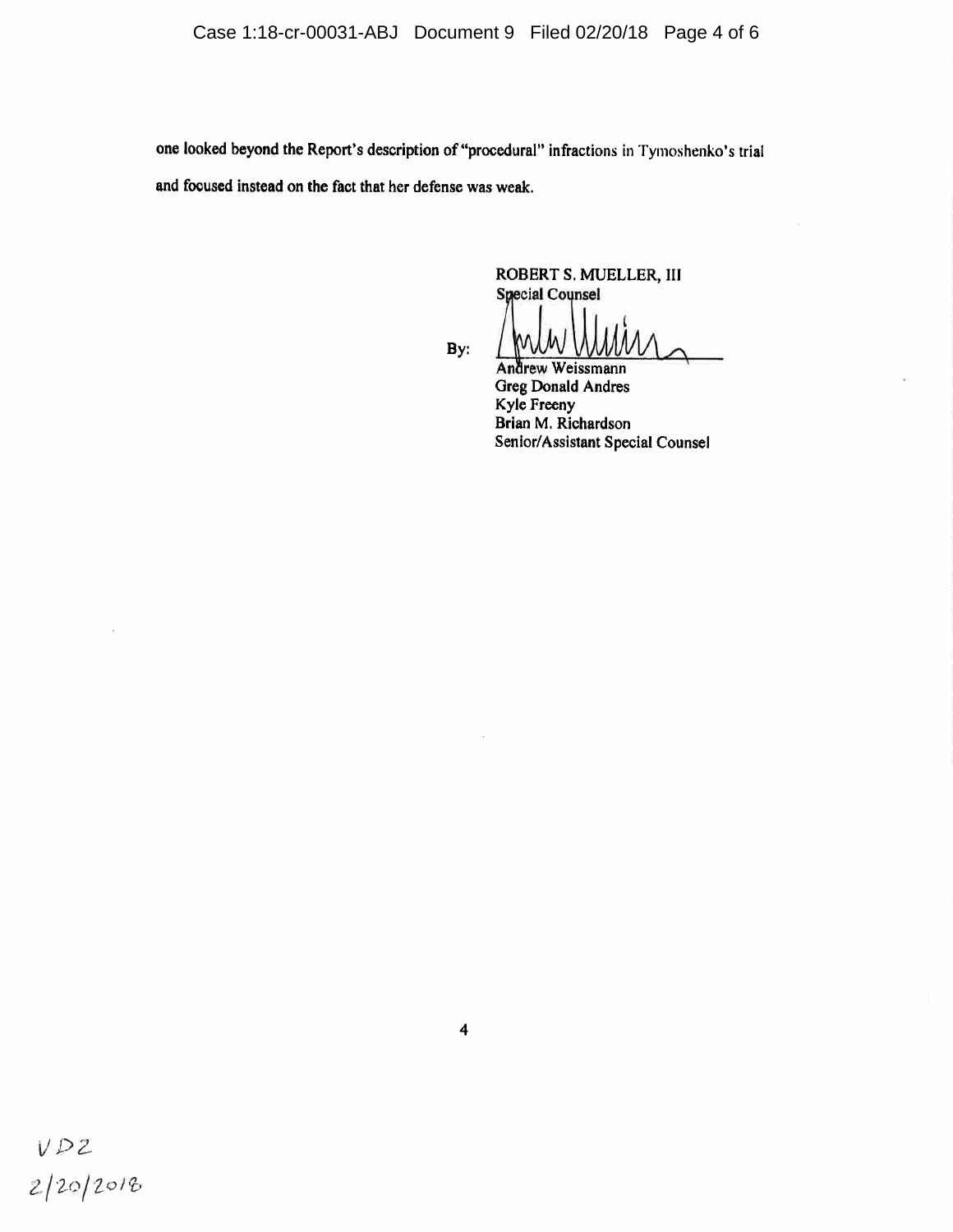one looked beyond the Report's description of "procedural" infractions in Tymoshenko's trial and focused instead on the fact that her defense was weak.

> ROBERT S. MUELLER, III **Special Counsel**

By:

Andrew Weissmann

**Greg Donald Andres** Kyle Freeny Brian M. Richardson Senior/Assistant Special Counsel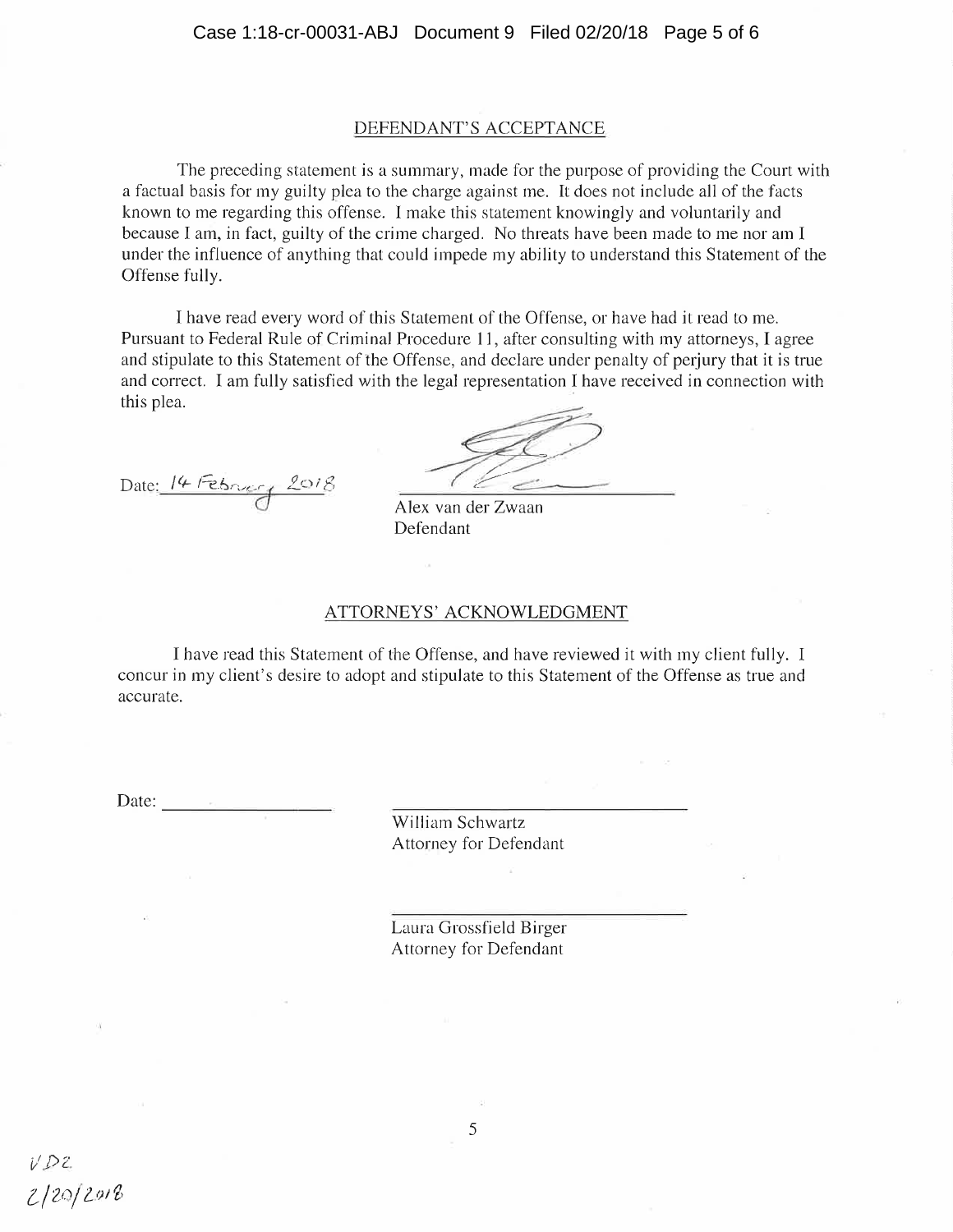### DEFENDANT'S ACCEPTANCE

The preceding statement is a summary, made for the purpose of providing the Court with a factual basis for my guilty plea to the charge against me. It does not include all of the facts known to me regarding this offense. I make this statement knowingly and voluntarily and because I am, in fact, guilty of the crime charged. No threats have been made to me nor am I under the influence of anything that could impede my ability to understand this Statement of the Offense fully.

I have read every word of this Statement of the Offense, or have had it read to me. Pursuant to Federal Rule of Criminal Procedure 11, after consulting with my attorneys, I agree and stipulate to this Statement of the Offense, and declare under penalty of perjury that it is true and correct. I am fully satisfied with the legal representation I have received in connection with this plea.

Date: 14 February 2018

a Alex van der Zwaan Defendant

#### ATTORNEYS' ACKNOWLEDGMENT

I have read this Statement of the Offense, and have reviewed it with my client fully. I concur in my client's desire to adopt and stipulate to this Statement of the Offense as true and accurate.

Date: - -------- William Schwartz Attorney for Defendant

> Laura Grossfield Birger Attorney for Defendant

5